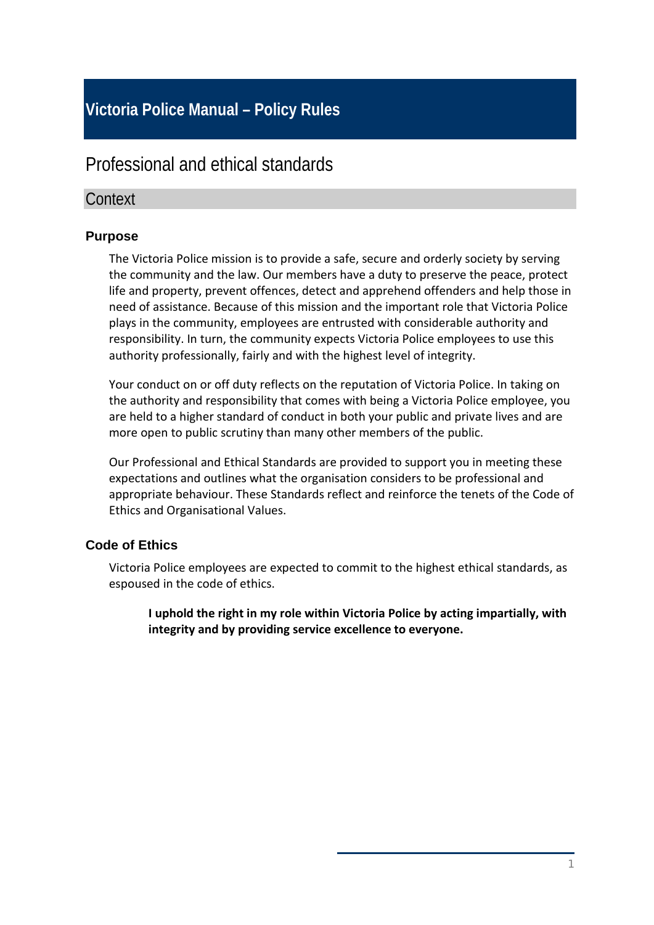# **Victoria Police Manual – Policy Rules**

# Professional and ethical standards

# **Context**

### **Purpose**

The Victoria Police mission is to provide a safe, secure and orderly society by serving the community and the law. Our members have a duty to preserve the peace, protect life and property, prevent offences, detect and apprehend offenders and help those in need of assistance. Because of this mission and the important role that Victoria Police plays in the community, employees are entrusted with considerable authority and responsibility. In turn, the community expects Victoria Police employees to use this authority professionally, fairly and with the highest level of integrity.

Your conduct on or off duty reflects on the reputation of Victoria Police. In taking on the authority and responsibility that comes with being a Victoria Police employee, you are held to a higher standard of conduct in both your public and private lives and are more open to public scrutiny than many other members of the public.

Our Professional and Ethical Standards are provided to support you in meeting these expectations and outlines what the organisation considers to be professional and appropriate behaviour. These Standards reflect and reinforce the tenets of the Code of Ethics and Organisational Values.

# **Code of Ethics**

Victoria Police employees are expected to commit to the highest ethical standards, as espoused in the code of ethics.

**I uphold the right in my role within Victoria Police by acting impartially, with integrity and by providing service excellence to everyone.**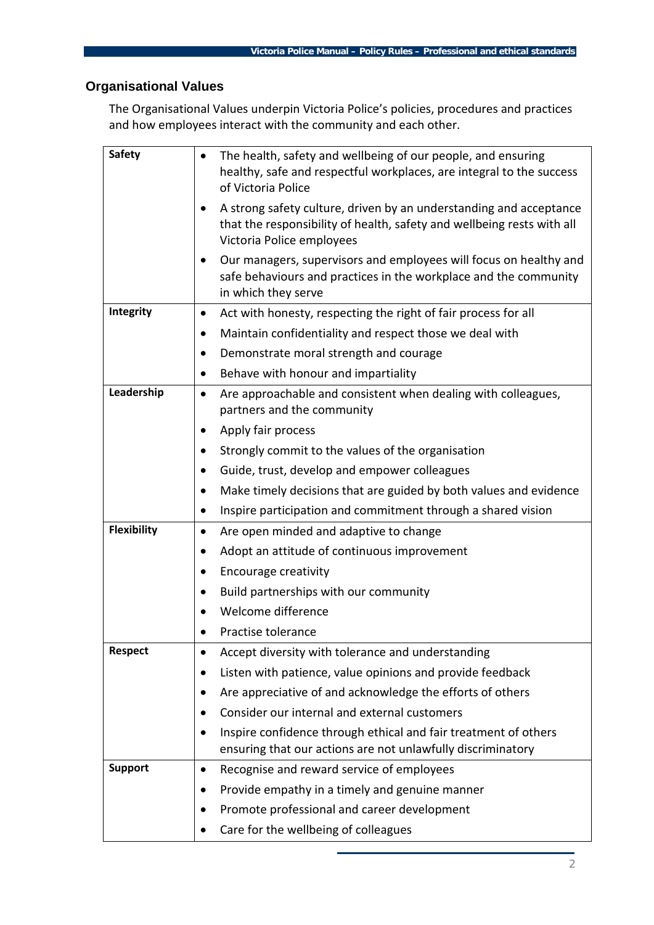# **Organisational Values**

The Organisational Values underpin Victoria Police's policies, procedures and practices and how employees interact with the community and each other.

| <b>Safety</b>      | The health, safety and wellbeing of our people, and ensuring<br>$\bullet$<br>healthy, safe and respectful workplaces, are integral to the success<br>of Victoria Police                |
|--------------------|----------------------------------------------------------------------------------------------------------------------------------------------------------------------------------------|
|                    | A strong safety culture, driven by an understanding and acceptance<br>$\bullet$<br>that the responsibility of health, safety and wellbeing rests with all<br>Victoria Police employees |
|                    | Our managers, supervisors and employees will focus on healthy and<br>safe behaviours and practices in the workplace and the community<br>in which they serve                           |
| Integrity          | Act with honesty, respecting the right of fair process for all<br>$\bullet$                                                                                                            |
|                    | Maintain confidentiality and respect those we deal with<br>$\bullet$                                                                                                                   |
|                    | Demonstrate moral strength and courage                                                                                                                                                 |
|                    | Behave with honour and impartiality<br>$\bullet$                                                                                                                                       |
| Leadership         | Are approachable and consistent when dealing with colleagues,<br>$\bullet$<br>partners and the community                                                                               |
|                    | Apply fair process                                                                                                                                                                     |
|                    | Strongly commit to the values of the organisation                                                                                                                                      |
|                    | Guide, trust, develop and empower colleagues                                                                                                                                           |
|                    | Make timely decisions that are guided by both values and evidence<br>$\bullet$                                                                                                         |
|                    | Inspire participation and commitment through a shared vision<br>$\bullet$                                                                                                              |
| <b>Flexibility</b> | Are open minded and adaptive to change<br>$\bullet$                                                                                                                                    |
|                    | Adopt an attitude of continuous improvement                                                                                                                                            |
|                    | Encourage creativity                                                                                                                                                                   |
|                    | Build partnerships with our community                                                                                                                                                  |
|                    | Welcome difference                                                                                                                                                                     |
|                    | Practise tolerance                                                                                                                                                                     |
| <b>Respect</b>     | Accept diversity with tolerance and understanding<br>$\bullet$                                                                                                                         |
|                    | Listen with patience, value opinions and provide feedback                                                                                                                              |
|                    | Are appreciative of and acknowledge the efforts of others                                                                                                                              |
|                    | Consider our internal and external customers                                                                                                                                           |
|                    | Inspire confidence through ethical and fair treatment of others<br>ensuring that our actions are not unlawfully discriminatory                                                         |
| <b>Support</b>     | Recognise and reward service of employees<br>٠                                                                                                                                         |
|                    | Provide empathy in a timely and genuine manner                                                                                                                                         |
|                    | Promote professional and career development                                                                                                                                            |
|                    | Care for the wellbeing of colleagues                                                                                                                                                   |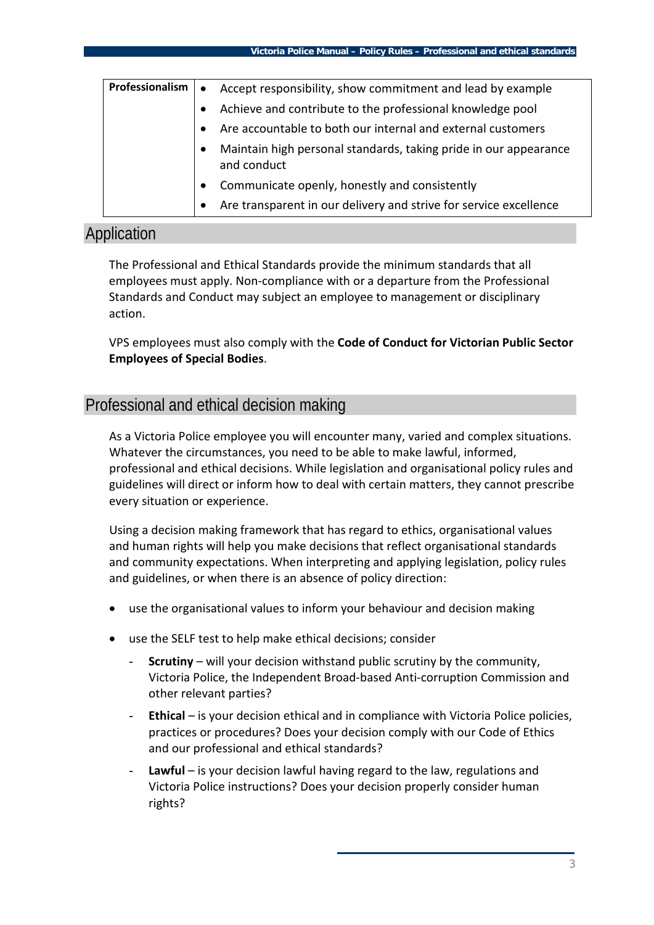| <b>Professionalism</b> | Accept responsibility, show commitment and lead by example<br>$\bullet$                      |
|------------------------|----------------------------------------------------------------------------------------------|
|                        | Achieve and contribute to the professional knowledge pool                                    |
|                        | Are accountable to both our internal and external customers                                  |
|                        | Maintain high personal standards, taking pride in our appearance<br>$\bullet$<br>and conduct |
|                        | Communicate openly, honestly and consistently<br>$\bullet$                                   |
|                        | Are transparent in our delivery and strive for service excellence                            |

## Application

The Professional and Ethical Standards provide the minimum standards that all employees must apply. Non-compliance with or a departure from the Professional Standards and Conduct may subject an employee to management or disciplinary action.

VPS employees must also comply with the **Code of Conduct for Victorian Public Sector Employees of Special Bodies**.

# Professional and ethical decision making

As a Victoria Police employee you will encounter many, varied and complex situations. Whatever the circumstances, you need to be able to make lawful, informed, professional and ethical decisions. While legislation and organisational policy rules and guidelines will direct or inform how to deal with certain matters, they cannot prescribe every situation or experience.

Using a decision making framework that has regard to ethics, organisational values and human rights will help you make decisions that reflect organisational standards and community expectations. When interpreting and applying legislation, policy rules and guidelines, or when there is an absence of policy direction:

- use the organisational values to inform your behaviour and decision making
- use the SELF test to help make ethical decisions; consider
	- **Scrutiny** will your decision withstand public scrutiny by the community, Victoria Police, the Independent Broad-based Anti-corruption Commission and other relevant parties?
	- **Ethical** is your decision ethical and in compliance with Victoria Police policies, practices or procedures? Does your decision comply with our Code of Ethics and our professional and ethical standards?
	- Lawful is your decision lawful having regard to the law, regulations and Victoria Police instructions? Does your decision properly consider human rights?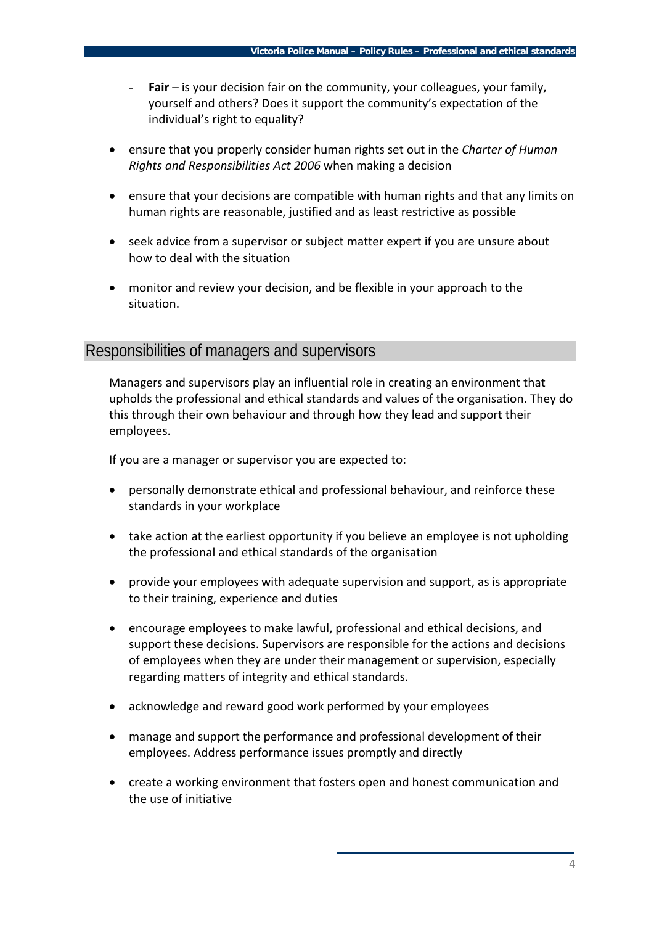- Fair is your decision fair on the community, your colleagues, your family, yourself and others? Does it support the community's expectation of the individual's right to equality?
- ensure that you properly consider human rights set out in the *Charter of Human Rights and Responsibilities Act 2006* when making a decision
- ensure that your decisions are compatible with human rights and that any limits on human rights are reasonable, justified and as least restrictive as possible
- seek advice from a supervisor or subject matter expert if you are unsure about how to deal with the situation
- monitor and review your decision, and be flexible in your approach to the situation.

### Responsibilities of managers and supervisors

Managers and supervisors play an influential role in creating an environment that upholds the professional and ethical standards and values of the organisation. They do this through their own behaviour and through how they lead and support their employees.

If you are a manager or supervisor you are expected to:

- personally demonstrate ethical and professional behaviour, and reinforce these standards in your workplace
- take action at the earliest opportunity if you believe an employee is not upholding the professional and ethical standards of the organisation
- provide your employees with adequate supervision and support, as is appropriate to their training, experience and duties
- encourage employees to make lawful, professional and ethical decisions, and support these decisions. Supervisors are responsible for the actions and decisions of employees when they are under their management or supervision, especially regarding matters of integrity and ethical standards.
- acknowledge and reward good work performed by your employees
- manage and support the performance and professional development of their employees. Address performance issues promptly and directly
- create a working environment that fosters open and honest communication and the use of initiative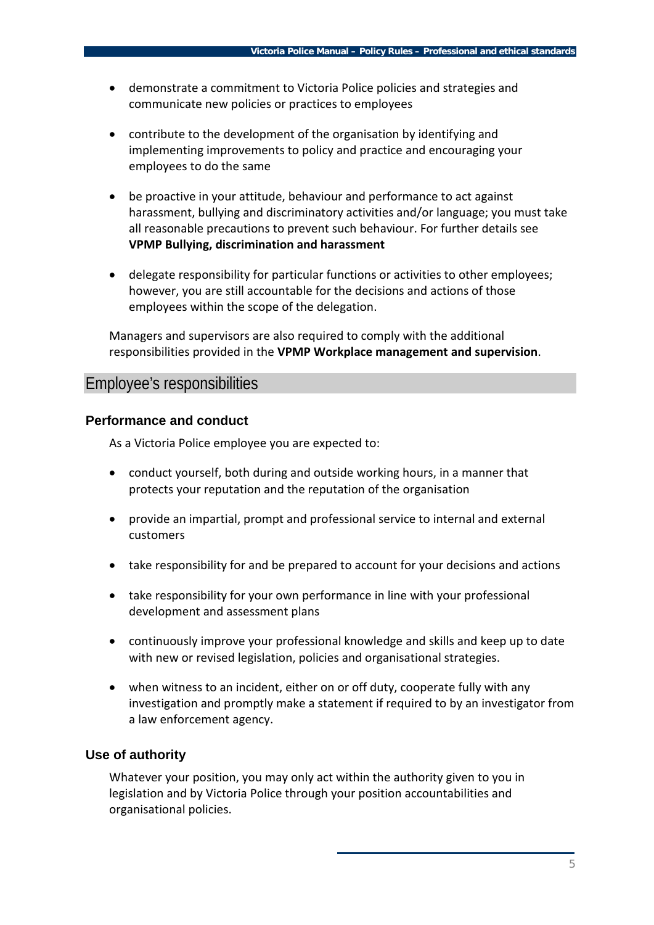- demonstrate a commitment to Victoria Police policies and strategies and communicate new policies or practices to employees
- contribute to the development of the organisation by identifying and implementing improvements to policy and practice and encouraging your employees to do the same
- be proactive in your attitude, behaviour and performance to act against harassment, bullying and discriminatory activities and/or language; you must take all reasonable precautions to prevent such behaviour. For further details see **VPMP Bullying, discrimination and harassment**
- delegate responsibility for particular functions or activities to other employees; however, you are still accountable for the decisions and actions of those employees within the scope of the delegation.

Managers and supervisors are also required to comply with the additional responsibilities provided in the **VPMP Workplace management and supervision**.

### Employee's responsibilities

#### **Performance and conduct**

As a Victoria Police employee you are expected to:

- conduct yourself, both during and outside working hours, in a manner that protects your reputation and the reputation of the organisation
- provide an impartial, prompt and professional service to internal and external customers
- take responsibility for and be prepared to account for your decisions and actions
- take responsibility for your own performance in line with your professional development and assessment plans
- continuously improve your professional knowledge and skills and keep up to date with new or revised legislation, policies and organisational strategies.
- when witness to an incident, either on or off duty, cooperate fully with any investigation and promptly make a statement if required to by an investigator from a law enforcement agency.

#### **Use of authority**

Whatever your position, you may only act within the authority given to you in legislation and by Victoria Police through your position accountabilities and organisational policies.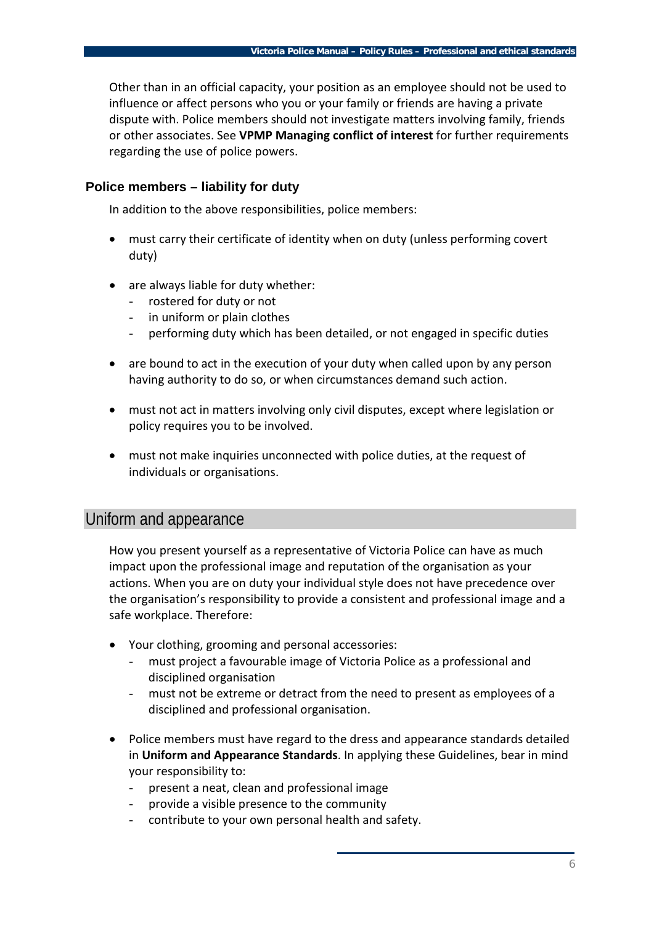Other than in an official capacity, your position as an employee should not be used to influence or affect persons who you or your family or friends are having a private dispute with. Police members should not investigate matters involving family, friends or other associates. See **VPMP Managing conflict of interest** for further requirements regarding the use of police powers.

#### **Police members – liability for duty**

In addition to the above responsibilities, police members:

- must carry their certificate of identity when on duty (unless performing covert duty)
- are always liable for duty whether:
	- rostered for duty or not
	- in uniform or plain clothes
	- performing duty which has been detailed, or not engaged in specific duties
- are bound to act in the execution of your duty when called upon by any person having authority to do so, or when circumstances demand such action.
- must not act in matters involving only civil disputes, except where legislation or policy requires you to be involved.
- must not make inquiries unconnected with police duties, at the request of individuals or organisations.

### Uniform and appearance

How you present yourself as a representative of Victoria Police can have as much impact upon the professional image and reputation of the organisation as your actions. When you are on duty your individual style does not have precedence over the organisation's responsibility to provide a consistent and professional image and a safe workplace. Therefore:

- Your clothing, grooming and personal accessories:
	- must project a favourable image of Victoria Police as a professional and disciplined organisation
	- must not be extreme or detract from the need to present as employees of a disciplined and professional organisation.
- Police members must have regard to the dress and appearance standards detailed in **Uniform and Appearance Standards**. In applying these Guidelines, bear in mind your responsibility to:
	- present a neat, clean and professional image
	- provide a visible presence to the community
	- contribute to your own personal health and safety.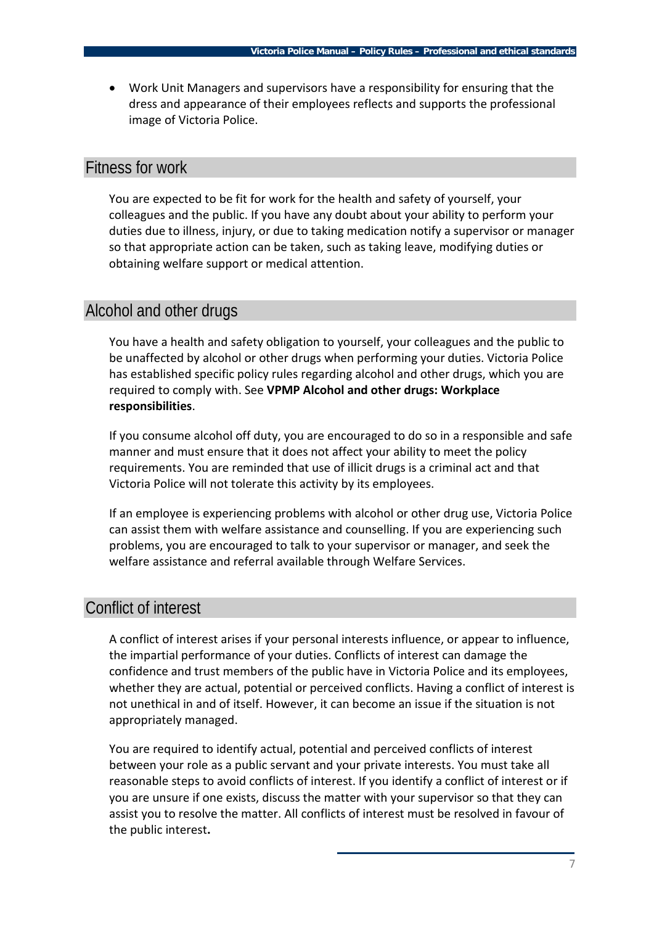• Work Unit Managers and supervisors have a responsibility for ensuring that the dress and appearance of their employees reflects and supports the professional image of Victoria Police.

### Fitness for work

You are expected to be fit for work for the health and safety of yourself, your colleagues and the public. If you have any doubt about your ability to perform your duties due to illness, injury, or due to taking medication notify a supervisor or manager so that appropriate action can be taken, such as taking leave, modifying duties or obtaining welfare support or medical attention.

### Alcohol and other drugs

You have a health and safety obligation to yourself, your colleagues and the public to be unaffected by alcohol or other drugs when performing your duties. Victoria Police has established specific policy rules regarding alcohol and other drugs, which you are required to comply with. See **VPMP Alcohol and other drugs: Workplace responsibilities**.

If you consume alcohol off duty, you are encouraged to do so in a responsible and safe manner and must ensure that it does not affect your ability to meet the policy requirements. You are reminded that use of illicit drugs is a criminal act and that Victoria Police will not tolerate this activity by its employees.

If an employee is experiencing problems with alcohol or other drug use, Victoria Police can assist them with welfare assistance and counselling. If you are experiencing such problems, you are encouraged to talk to your supervisor or manager, and seek the welfare assistance and referral available through Welfare Services.

# Conflict of interest

A conflict of interest arises if your personal interests influence, or appear to influence, the impartial performance of your duties. Conflicts of interest can damage the confidence and trust members of the public have in Victoria Police and its employees, whether they are actual, potential or perceived conflicts. Having a conflict of interest is not unethical in and of itself. However, it can become an issue if the situation is not appropriately managed.

You are required to identify actual, potential and perceived conflicts of interest between your role as a public servant and your private interests. You must take all reasonable steps to avoid conflicts of interest. If you identify a conflict of interest or if you are unsure if one exists, discuss the matter with your supervisor so that they can assist you to resolve the matter. All conflicts of interest must be resolved in favour of the public interest**.**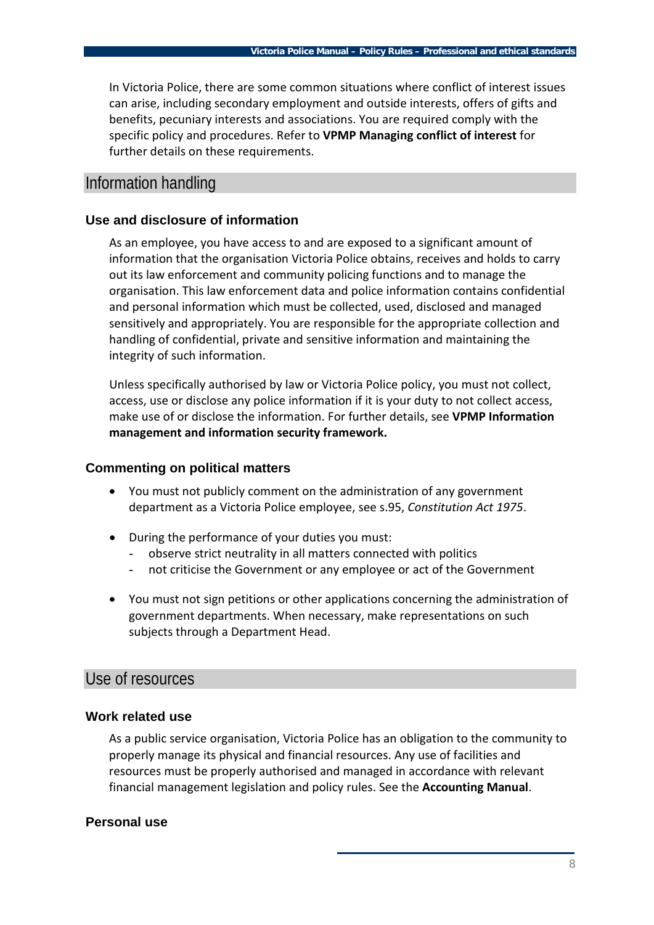In Victoria Police, there are some common situations where conflict of interest issues can arise, including secondary employment and outside interests, offers of gifts and benefits, pecuniary interests and associations. You are required comply with the specific policy and procedures. Refer to **VPMP Managing conflict of interest** for further details on these requirements.

## Information handling

### **Use and disclosure of information**

As an employee, you have access to and are exposed to a significant amount of information that the organisation Victoria Police obtains, receives and holds to carry out its law enforcement and community policing functions and to manage the organisation. This law enforcement data and police information contains confidential and personal information which must be collected, used, disclosed and managed sensitively and appropriately. You are responsible for the appropriate collection and handling of confidential, private and sensitive information and maintaining the integrity of such information.

Unless specifically authorised by law or Victoria Police policy, you must not collect, access, use or disclose any police information if it is your duty to not collect access, make use of or disclose the information. For further details, see **VPMP Information management and information security framework.**

### **Commenting on political matters**

- You must not publicly comment on the administration of any government department as a Victoria Police employee, see s.95, *[Constitution Act 1975](http://palmer.intranet.vic.gov.au/l2d/C/ACT00827/index.html)*.
- During the performance of your duties you must:
	- observe strict neutrality in all matters connected with politics
	- not criticise the Government or any employee or act of the Government
- You must not sign petitions or other applications concerning the administration of government departments. When necessary, make representations on such subjects through a Department Head.

## Use of resources

### **Work related use**

As a public service organisation, Victoria Police has an obligation to the community to properly manage its physical and financial resources. Any use of facilities and resources must be properly authorised and managed in accordance with relevant financial management legislation and policy rules. See the **Accounting Manual**.

### **Personal use**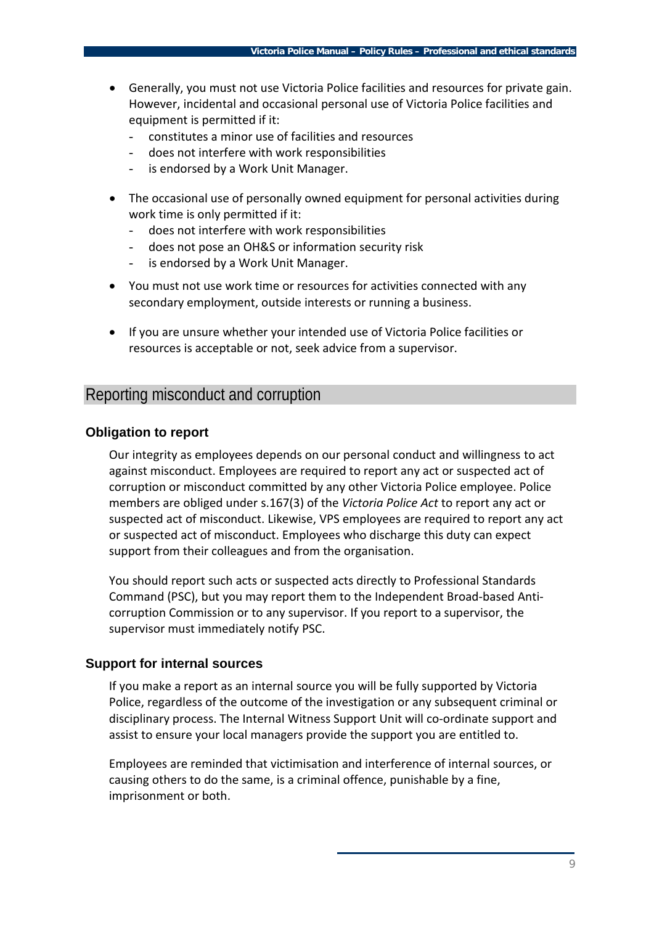- Generally, you must not use Victoria Police facilities and resources for private gain. However, incidental and occasional personal use of Victoria Police facilities and equipment is permitted if it:
	- constitutes a minor use of facilities and resources
	- does not interfere with work responsibilities
	- is endorsed by a Work Unit Manager.
- The occasional use of personally owned equipment for personal activities during work time is only permitted if it:
	- does not interfere with work responsibilities
	- does not pose an OH&S or information security risk
	- is endorsed by a Work Unit Manager.
- You must not use work time or resources for activities connected with any secondary employment, outside interests or running a business.
- If you are unsure whether your intended use of Victoria Police facilities or resources is acceptable or not, seek advice from a supervisor.

# Reporting misconduct and corruption

#### **Obligation to report**

Our integrity as employees depends on our personal conduct and willingness to act against misconduct. Employees are required to report any act or suspected act of corruption or misconduct committed by any other Victoria Police employee. Police members are obliged under s.167(3) of the *Victoria Police Act* to report any act or suspected act of misconduct. Likewise, VPS employees are required to report any act or suspected act of misconduct. Employees who discharge this duty can expect support from their colleagues and from the organisation.

You should report such acts or suspected acts directly to Professional Standards Command (PSC), but you may report them to the Independent Broad-based Anticorruption Commission or to any supervisor. If you report to a supervisor, the supervisor must immediately notify PSC.

#### **Support for internal sources**

If you make a report as an internal source you will be fully supported by Victoria Police, regardless of the outcome of the investigation or any subsequent criminal or disciplinary process. The Internal Witness Support Unit will co-ordinate support and assist to ensure your local managers provide the support you are entitled to.

Employees are reminded that victimisation and interference of internal sources, or causing others to do the same, is a criminal offence, punishable by a fine, imprisonment or both.